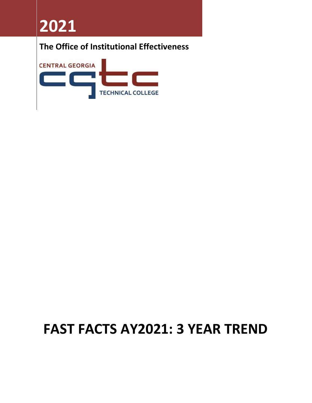**2021**

### **The Office of Institutional Effectiveness**



# **FAST FACTS AY2021: 3 YEAR TREND**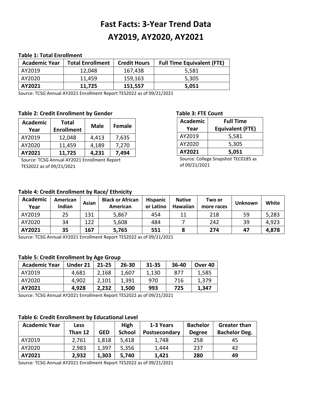## **Fast Facts: 3-Year Trend Data AY2019, AY2020, AY2021**

#### **Table 1: Total Enrollment**

| <b>Academic Year</b> | <b>Total Enrollment</b> | <b>Credit Hours</b> | <b>Full Time Equivalent (FTE)</b> |
|----------------------|-------------------------|---------------------|-----------------------------------|
| AY2019               | 12,048                  | 167,438             | 5,581                             |
| AY2020               | 11,459                  | 159,163             | 5.305                             |
| AY2021               | 11,725                  | 151.557             | 5,051                             |

Source: TCSG Annual AY2021 Enrollment Report TES2022 as of 09/21/2021

#### Table 2: Credit Enrollment by Gender Table 3: FTE Count

| <b>Academic</b> | <b>Total</b>      | <b>Male</b> | <b>Female</b> |
|-----------------|-------------------|-------------|---------------|
| Year            | <b>Enrollment</b> |             |               |
| AY2019          | 12,048            | 4,413       | 7,635         |
| AY2020          | 11,459            | 4,189       | 7,270         |
| AY2021          | 11,725            | 4,231       | 7,494         |

Source: TCSG Annual AY2021 Enrollment Report TES2022 as of 09/21/2021

| <b>Academic</b> | <b>Full Time</b>        |
|-----------------|-------------------------|
| Year            | <b>Equivalent (FTE)</b> |
| AY2019          | 5,581                   |
| AY2020          | 5,305                   |
| AY2021          | 5,051                   |

Source: College Snapshot TEC0185 as of 09/21/2021

#### **Table 4: Credit Enrollment by Race/ Ethnicity**

| <b>Academic</b><br>Year | American<br>Indian | Asian | <b>Black or African</b><br>American | <b>Hispanic</b><br>or Latino | <b>Native</b><br>Hawaiian | Two or<br>more races | Unknown | White |
|-------------------------|--------------------|-------|-------------------------------------|------------------------------|---------------------------|----------------------|---------|-------|
| AY2019                  | 25                 | 131   | 5,867                               | 454                          | 11                        | 218                  | 59      | 5,283 |
| AY2020                  | 34                 | 122   | 5,608                               | 484                          |                           | 242                  | 39      | 4,923 |
| AY2021                  | 35                 | 167   | 5,765                               | 551                          | 8                         | 274                  | 47      | 4,878 |

Source: TCSG Annual AY2021 Enrollment Report TES2022 as of 09/21/2021

#### **Table 5: Credit Enrollment by Age Group**

| <b>Academic Year</b> | Under 21 | $21 - 25$ | $26 - 30$ | 31-35 | $36-40$ | Over 40 |
|----------------------|----------|-----------|-----------|-------|---------|---------|
| AY2019               | 4,681    | 2,168     | 1,607     | 1,130 | 877     | 1,585   |
| AY2020               | 4.902    | 2,101     | 1,391     | 970   | 716     | 1,379   |
| AY2021               | 4,928    | 2,232     | 1,500     | 993   | 725     | 1,347   |

Source: TCSG Annual AY2021 Enrollment Report TES2022 as of 09/21/2021

#### **Table 6: Credit Enrollment by Educational Level**

| <b>Academic Year</b> | <b>Less</b> |            | High          | 1-3 Years     | <b>Bachelor</b> | <b>Greater than</b>  |
|----------------------|-------------|------------|---------------|---------------|-----------------|----------------------|
|                      | Than 12     | <b>GED</b> | <b>School</b> | Postsecondary | <b>Degree</b>   | <b>Bachelor Deg.</b> |
| AY2019               | 2,761       | 1,818      | 5,418         | 1,748         | 258             | 45                   |
| AY2020               | 2,983       | 1,397      | 5,356         | 1,444         | 237             | 42                   |
| AY2021               | 2,932       | 1,303      | 5,740         | 1,421         | 280             | 49                   |

Source: TCSG Annual AY2021 Enrollment Report TES2022 as of 09/21/2021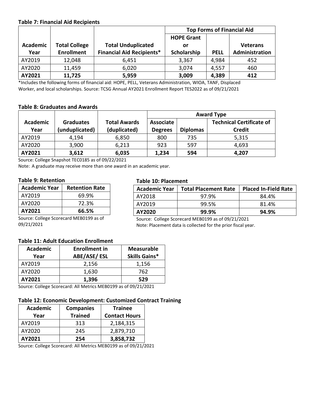#### **Table 7: Financial Aid Recipients**

|          |                      |                                  | <b>Top Forms of Financial Aid</b> |             |                 |
|----------|----------------------|----------------------------------|-----------------------------------|-------------|-----------------|
|          |                      |                                  | <b>HOPE Grant</b>                 |             |                 |
| Academic | <b>Total College</b> | <b>Total Unduplicated</b>        | or                                |             | <b>Veterans</b> |
| Year     | <b>Enrollment</b>    | <b>Financial Aid Recipients*</b> | Scholarship                       | <b>PELL</b> | Administration  |
| AY2019   | 12,048               | 6,451                            | 3,367                             | 4,984       | 452             |
| AY2020   | 11,459               | 6,020                            | 3,074                             | 4,557       | 460             |
| AY2021   | 11,725               | 5,959                            | 3,009                             | 4,389       | 412             |

\*Includes the following forms of financial aid: HOPE, PELL, Veterans Administration, WIOA, TANF, Displaced Worker, and local scholarships. Source: TCSG Annual AY2021 Enrollment Report TES2022 as of 09/21/2021

#### **Table 8: Graduates and Awards**

|                 |                  |                     |                | <b>Award Type</b> |                                 |  |  |
|-----------------|------------------|---------------------|----------------|-------------------|---------------------------------|--|--|
| <b>Academic</b> | <b>Graduates</b> | <b>Total Awards</b> | Associate      |                   | <b>Technical Certificate of</b> |  |  |
| Year            | (unduplicated)   | (duplicated)        | <b>Degrees</b> | <b>Diplomas</b>   | <b>Credit</b>                   |  |  |
| AY2019          | 4,194            | 6,850               | 800            | 735               | 5,315                           |  |  |
| AY2020          | 3,900            | 6,213               | 923            | 597               | 4,693                           |  |  |
| AY2021          | 3,612            | 6,035               | 1,234          | 594               | 4,207                           |  |  |

Source: College Snapshot TEC0185 as of 09/22/2021

Note: A graduate may receive more than one award in an academic year.

#### **Table 9: Retention**

| <b>Academic Year</b> | <b>Retention Rate</b> |
|----------------------|-----------------------|
| AY2019               | 69.9%                 |
| AY2020               | 72.3%                 |
| AY2021               | 66.5%                 |

Source: College Scorecard MEB0199 as of 09/21/2021

#### **Table 10: Placement**

| <b>Academic Year</b> | <b>Total Placement Rate</b> | <b>Placed In-Field Rate</b> |
|----------------------|-----------------------------|-----------------------------|
| AY2018               | 97.9%                       | 84.4%                       |
| AY2019               | 99.5%                       | 81.4%                       |
| AY2020               | 99.9%                       | 94.9%                       |

Source: College Scorecard MEB0199 as of 09/21/2021 Note: Placement data is collected for the prior fiscal year.

### **Table 11: Adult Education Enrollment**

| <b>Academic</b> | <b>Enrollment in</b> | <b>Measurable</b>    |
|-----------------|----------------------|----------------------|
| Year            | ABE/ASE/ESL          | <b>Skills Gains*</b> |
| AY2019          | 2,156                | 1,156                |
| AY2020          | 1,630                | 762                  |
| AY2021          | 1,396                | 529                  |

Source: College Scorecard: All Metrics MEB0199 as of 09/21/2021

#### **Table 12: Economic Development: Customized Contract Training**

| Academic | <b>Companies</b> | <b>Trainee</b>       |
|----------|------------------|----------------------|
| Year     | <b>Trained</b>   | <b>Contact Hours</b> |
| AY2019   | 313              | 2,184,315            |
| AY2020   | 245              | 2,879,710            |
| AY2021   | 254              | 3,858,732            |

Source: College Scorecard: All Metrics MEB0199 as of 09/21/2021